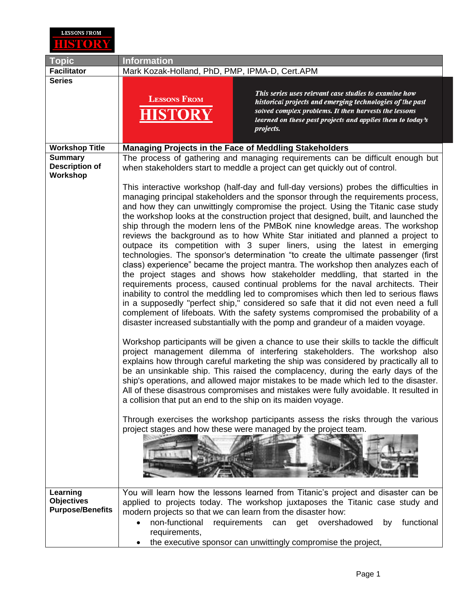

| <b>Topic</b>                                             | <b>Information</b>                                                                                                                                                                                                                                                                                                                                                                                                                                                                                                                                                                                                                                                                                                                                                                                                                                                                                                                                                                                                                                                                                                                                                                                                                                                                                                                                                                                                                                                                                                                                                         |
|----------------------------------------------------------|----------------------------------------------------------------------------------------------------------------------------------------------------------------------------------------------------------------------------------------------------------------------------------------------------------------------------------------------------------------------------------------------------------------------------------------------------------------------------------------------------------------------------------------------------------------------------------------------------------------------------------------------------------------------------------------------------------------------------------------------------------------------------------------------------------------------------------------------------------------------------------------------------------------------------------------------------------------------------------------------------------------------------------------------------------------------------------------------------------------------------------------------------------------------------------------------------------------------------------------------------------------------------------------------------------------------------------------------------------------------------------------------------------------------------------------------------------------------------------------------------------------------------------------------------------------------------|
| <b>Facilitator</b>                                       | Mark Kozak-Holland, PhD, PMP, IPMA-D, Cert.APM                                                                                                                                                                                                                                                                                                                                                                                                                                                                                                                                                                                                                                                                                                                                                                                                                                                                                                                                                                                                                                                                                                                                                                                                                                                                                                                                                                                                                                                                                                                             |
| <b>Series</b>                                            | This series uses relevant case studies to examine how<br><b>LESSONS FROM</b><br>historical projects and emerging technologies of the past<br>solved complex problems. It then harvests the lessons<br>learned on these past projects and applies them to today's<br>projects.                                                                                                                                                                                                                                                                                                                                                                                                                                                                                                                                                                                                                                                                                                                                                                                                                                                                                                                                                                                                                                                                                                                                                                                                                                                                                              |
| <b>Workshop Title</b>                                    | <b>Managing Projects in the Face of Meddling Stakeholders</b>                                                                                                                                                                                                                                                                                                                                                                                                                                                                                                                                                                                                                                                                                                                                                                                                                                                                                                                                                                                                                                                                                                                                                                                                                                                                                                                                                                                                                                                                                                              |
| <b>Summary</b><br><b>Description of</b><br>Workshop      | The process of gathering and managing requirements can be difficult enough but<br>when stakeholders start to meddle a project can get quickly out of control.                                                                                                                                                                                                                                                                                                                                                                                                                                                                                                                                                                                                                                                                                                                                                                                                                                                                                                                                                                                                                                                                                                                                                                                                                                                                                                                                                                                                              |
|                                                          | This interactive workshop (half-day and full-day versions) probes the difficulties in<br>managing principal stakeholders and the sponsor through the requirements process,<br>and how they can unwittingly compromise the project. Using the Titanic case study<br>the workshop looks at the construction project that designed, built, and launched the<br>ship through the modern lens of the PMBoK nine knowledge areas. The workshop<br>reviews the background as to how White Star initiated and planned a project to<br>outpace its competition with 3 super liners, using the latest in emerging<br>technologies. The sponsor's determination "to create the ultimate passenger (first<br>class) experience" became the project mantra. The workshop then analyzes each of<br>the project stages and shows how stakeholder meddling, that started in the<br>requirements process, caused continual problems for the naval architects. Their<br>inability to control the meddling led to compromises which then led to serious flaws<br>in a supposedly "perfect ship," considered so safe that it did not even need a full<br>complement of lifeboats. With the safety systems compromised the probability of a<br>disaster increased substantially with the pomp and grandeur of a maiden voyage.<br>Workshop participants will be given a chance to use their skills to tackle the difficult<br>project management dilemma of interfering stakeholders. The workshop also<br>explains how through careful marketing the ship was considered by practically all to |
|                                                          | be an unsinkable ship. This raised the complacency, during the early days of the<br>ship's operations, and allowed major mistakes to be made which led to the disaster.<br>All of these disastrous compromises and mistakes were fully avoidable. It resulted in<br>a collision that put an end to the ship on its maiden voyage.                                                                                                                                                                                                                                                                                                                                                                                                                                                                                                                                                                                                                                                                                                                                                                                                                                                                                                                                                                                                                                                                                                                                                                                                                                          |
|                                                          | Through exercises the workshop participants assess the risks through the various<br>project stages and how these were managed by the project team.                                                                                                                                                                                                                                                                                                                                                                                                                                                                                                                                                                                                                                                                                                                                                                                                                                                                                                                                                                                                                                                                                                                                                                                                                                                                                                                                                                                                                         |
| Learning<br><b>Objectives</b><br><b>Purpose/Benefits</b> | You will learn how the lessons learned from Titanic's project and disaster can be<br>applied to projects today. The workshop juxtaposes the Titanic case study and<br>modern projects so that we can learn from the disaster how:<br>non-functional<br>requirements can get overshadowed<br>functional<br>by<br>requirements,<br>the executive sponsor can unwittingly compromise the project,                                                                                                                                                                                                                                                                                                                                                                                                                                                                                                                                                                                                                                                                                                                                                                                                                                                                                                                                                                                                                                                                                                                                                                             |